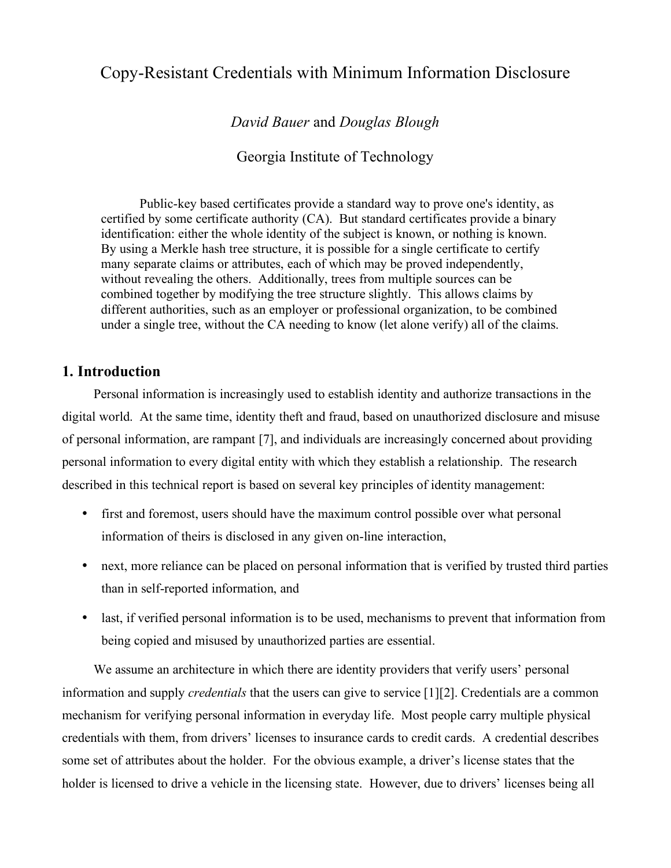# Copy-Resistant Credentials with Minimum Information Disclosure

*David Bauer* and *Douglas Blough*

Georgia Institute of Technology

Public-key based certificates provide a standard way to prove one's identity, as certified by some certificate authority (CA). But standard certificates provide a binary identification: either the whole identity of the subject is known, or nothing is known. By using a Merkle hash tree structure, it is possible for a single certificate to certify many separate claims or attributes, each of which may be proved independently, without revealing the others. Additionally, trees from multiple sources can be combined together by modifying the tree structure slightly. This allows claims by different authorities, such as an employer or professional organization, to be combined under a single tree, without the CA needing to know (let alone verify) all of the claims.

# **1. Introduction**

Personal information is increasingly used to establish identity and authorize transactions in the digital world. At the same time, identity theft and fraud, based on unauthorized disclosure and misuse of personal information, are rampant [7], and individuals are increasingly concerned about providing personal information to every digital entity with which they establish a relationship. The research described in this technical report is based on several key principles of identity management:

- first and foremost, users should have the maximum control possible over what personal information of theirs is disclosed in any given on-line interaction,
- next, more reliance can be placed on personal information that is verified by trusted third parties than in self-reported information, and
- last, if verified personal information is to be used, mechanisms to prevent that information from being copied and misused by unauthorized parties are essential.

We assume an architecture in which there are identity providers that verify users' personal information and supply *credentials* that the users can give to service [1][2]. Credentials are a common mechanism for verifying personal information in everyday life. Most people carry multiple physical credentials with them, from drivers' licenses to insurance cards to credit cards. A credential describes some set of attributes about the holder. For the obvious example, a driver's license states that the holder is licensed to drive a vehicle in the licensing state. However, due to drivers' licenses being all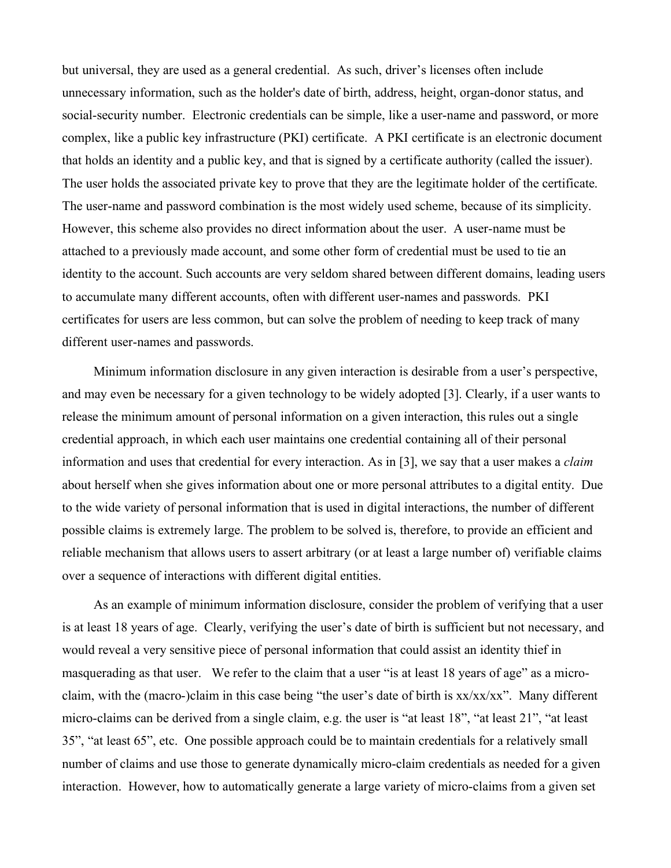but universal, they are used as a general credential. As such, driver's licenses often include unnecessary information, such as the holder's date of birth, address, height, organ-donor status, and social-security number. Electronic credentials can be simple, like a user-name and password, or more complex, like a public key infrastructure (PKI) certificate. A PKI certificate is an electronic document that holds an identity and a public key, and that is signed by a certificate authority (called the issuer). The user holds the associated private key to prove that they are the legitimate holder of the certificate. The user-name and password combination is the most widely used scheme, because of its simplicity. However, this scheme also provides no direct information about the user. A user-name must be attached to a previously made account, and some other form of credential must be used to tie an identity to the account. Such accounts are very seldom shared between different domains, leading users to accumulate many different accounts, often with different user-names and passwords. PKI certificates for users are less common, but can solve the problem of needing to keep track of many different user-names and passwords.

Minimum information disclosure in any given interaction is desirable from a user's perspective, and may even be necessary for a given technology to be widely adopted [3]. Clearly, if a user wants to release the minimum amount of personal information on a given interaction, this rules out a single credential approach, in which each user maintains one credential containing all of their personal information and uses that credential for every interaction. As in [3], we say that a user makes a *claim* about herself when she gives information about one or more personal attributes to a digital entity. Due to the wide variety of personal information that is used in digital interactions, the number of different possible claims is extremely large. The problem to be solved is, therefore, to provide an efficient and reliable mechanism that allows users to assert arbitrary (or at least a large number of) verifiable claims over a sequence of interactions with different digital entities.

As an example of minimum information disclosure, consider the problem of verifying that a user is at least 18 years of age. Clearly, verifying the user's date of birth is sufficient but not necessary, and would reveal a very sensitive piece of personal information that could assist an identity thief in masquerading as that user. We refer to the claim that a user "is at least 18 years of age" as a microclaim, with the (macro-)claim in this case being "the user's date of birth is xx/xx/xx". Many different micro-claims can be derived from a single claim, e.g. the user is "at least 18", "at least 21", "at least 35", "at least 65", etc. One possible approach could be to maintain credentials for a relatively small number of claims and use those to generate dynamically micro-claim credentials as needed for a given interaction. However, how to automatically generate a large variety of micro-claims from a given set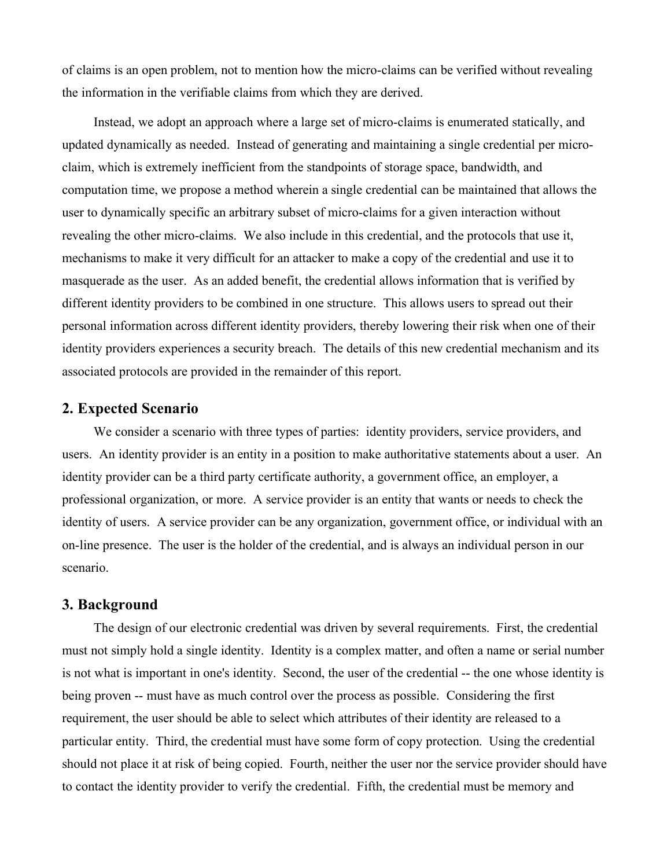of claims is an open problem, not to mention how the micro-claims can be verified without revealing the information in the verifiable claims from which they are derived.

Instead, we adopt an approach where a large set of micro-claims is enumerated statically, and updated dynamically as needed. Instead of generating and maintaining a single credential per microclaim, which is extremely inefficient from the standpoints of storage space, bandwidth, and computation time, we propose a method wherein a single credential can be maintained that allows the user to dynamically specific an arbitrary subset of micro-claims for a given interaction without revealing the other micro-claims. We also include in this credential, and the protocols that use it, mechanisms to make it very difficult for an attacker to make a copy of the credential and use it to masquerade as the user. As an added benefit, the credential allows information that is verified by different identity providers to be combined in one structure. This allows users to spread out their personal information across different identity providers, thereby lowering their risk when one of their identity providers experiences a security breach. The details of this new credential mechanism and its associated protocols are provided in the remainder of this report.

### **2. Expected Scenario**

We consider a scenario with three types of parties: identity providers, service providers, and users. An identity provider is an entity in a position to make authoritative statements about a user. An identity provider can be a third party certificate authority, a government office, an employer, a professional organization, or more. A service provider is an entity that wants or needs to check the identity of users. A service provider can be any organization, government office, or individual with an on-line presence. The user is the holder of the credential, and is always an individual person in our scenario.

## **3. Background**

The design of our electronic credential was driven by several requirements. First, the credential must not simply hold a single identity. Identity is a complex matter, and often a name or serial number is not what is important in one's identity. Second, the user of the credential -- the one whose identity is being proven -- must have as much control over the process as possible. Considering the first requirement, the user should be able to select which attributes of their identity are released to a particular entity. Third, the credential must have some form of copy protection. Using the credential should not place it at risk of being copied. Fourth, neither the user nor the service provider should have to contact the identity provider to verify the credential. Fifth, the credential must be memory and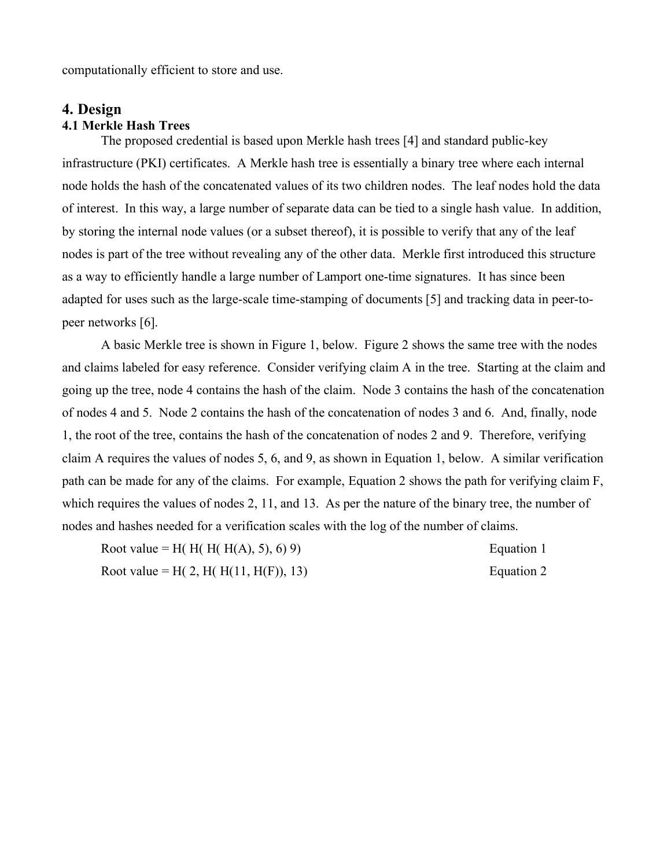computationally efficient to store and use.

# **4. Design**

#### **4.1 Merkle Hash Trees**

The proposed credential is based upon Merkle hash trees [4] and standard public-key infrastructure (PKI) certificates. A Merkle hash tree is essentially a binary tree where each internal node holds the hash of the concatenated values of its two children nodes. The leaf nodes hold the data of interest. In this way, a large number of separate data can be tied to a single hash value. In addition, by storing the internal node values (or a subset thereof), it is possible to verify that any of the leaf nodes is part of the tree without revealing any of the other data. Merkle first introduced this structure as a way to efficiently handle a large number of Lamport one-time signatures. It has since been adapted for uses such as the large-scale time-stamping of documents [5] and tracking data in peer-topeer networks [6].

A basic Merkle tree is shown in Figure 1, below. Figure 2 shows the same tree with the nodes and claims labeled for easy reference. Consider verifying claim A in the tree. Starting at the claim and going up the tree, node 4 contains the hash of the claim. Node 3 contains the hash of the concatenation of nodes 4 and 5. Node 2 contains the hash of the concatenation of nodes 3 and 6. And, finally, node 1, the root of the tree, contains the hash of the concatenation of nodes 2 and 9. Therefore, verifying claim A requires the values of nodes 5, 6, and 9, as shown in Equation 1, below. A similar verification path can be made for any of the claims. For example, Equation 2 shows the path for verifying claim F, which requires the values of nodes 2, 11, and 13. As per the nature of the binary tree, the number of nodes and hashes needed for a verification scales with the log of the number of claims.

Root value = H( H( H( H(A), 5), 6) 9) Equation 1 Root value = H( 2, H( H(11, H(F)), 13) Equation 2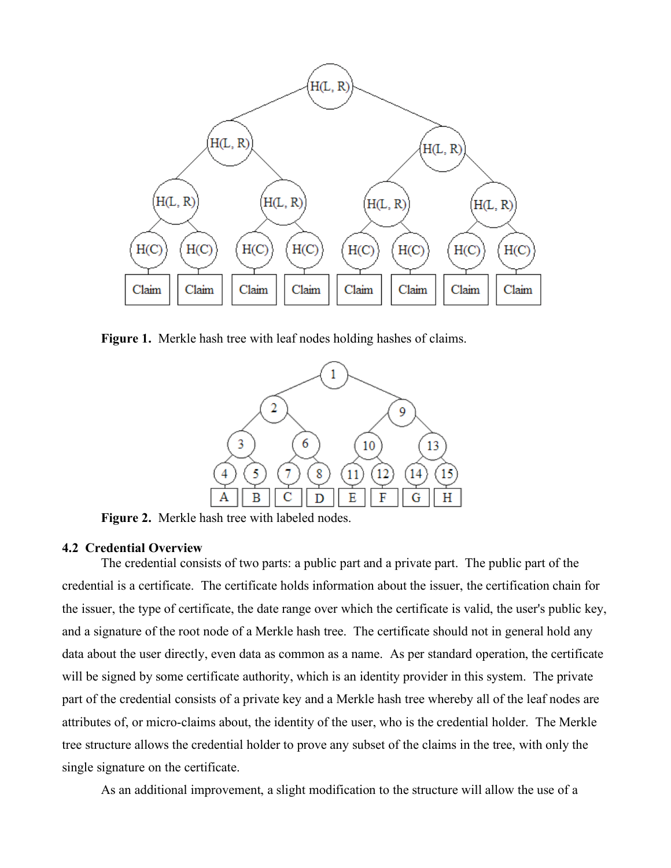

**Figure 1.** Merkle hash tree with leaf nodes holding hashes of claims.



**Figure 2.** Merkle hash tree with labeled nodes.

#### **4.2 Credential Overview**

The credential consists of two parts: a public part and a private part. The public part of the credential is a certificate. The certificate holds information about the issuer, the certification chain for the issuer, the type of certificate, the date range over which the certificate is valid, the user's public key, and a signature of the root node of a Merkle hash tree. The certificate should not in general hold any data about the user directly, even data as common as a name. As per standard operation, the certificate will be signed by some certificate authority, which is an identity provider in this system. The private part of the credential consists of a private key and a Merkle hash tree whereby all of the leaf nodes are attributes of, or micro-claims about, the identity of the user, who is the credential holder. The Merkle tree structure allows the credential holder to prove any subset of the claims in the tree, with only the single signature on the certificate.

As an additional improvement, a slight modification to the structure will allow the use of a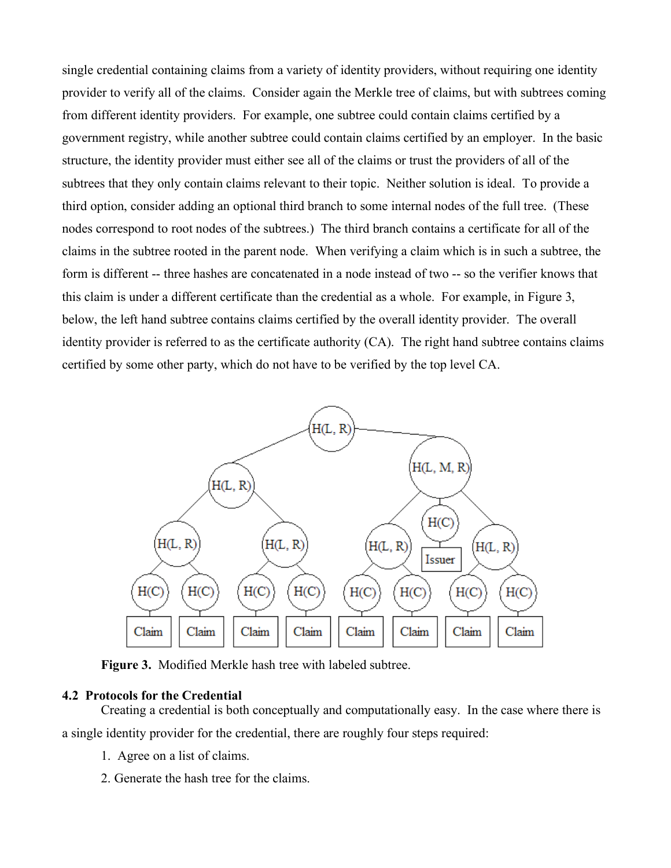single credential containing claims from a variety of identity providers, without requiring one identity provider to verify all of the claims. Consider again the Merkle tree of claims, but with subtrees coming from different identity providers. For example, one subtree could contain claims certified by a government registry, while another subtree could contain claims certified by an employer. In the basic structure, the identity provider must either see all of the claims or trust the providers of all of the subtrees that they only contain claims relevant to their topic. Neither solution is ideal. To provide a third option, consider adding an optional third branch to some internal nodes of the full tree. (These nodes correspond to root nodes of the subtrees.) The third branch contains a certificate for all of the claims in the subtree rooted in the parent node. When verifying a claim which is in such a subtree, the form is different -- three hashes are concatenated in a node instead of two -- so the verifier knows that this claim is under a different certificate than the credential as a whole. For example, in Figure 3, below, the left hand subtree contains claims certified by the overall identity provider. The overall identity provider is referred to as the certificate authority (CA). The right hand subtree contains claims certified by some other party, which do not have to be verified by the top level CA.



**Figure 3.** Modified Merkle hash tree with labeled subtree.

## **4.2 Protocols for the Credential**

Creating a credential is both conceptually and computationally easy. In the case where there is a single identity provider for the credential, there are roughly four steps required:

- 1. Agree on a list of claims.
- 2. Generate the hash tree for the claims.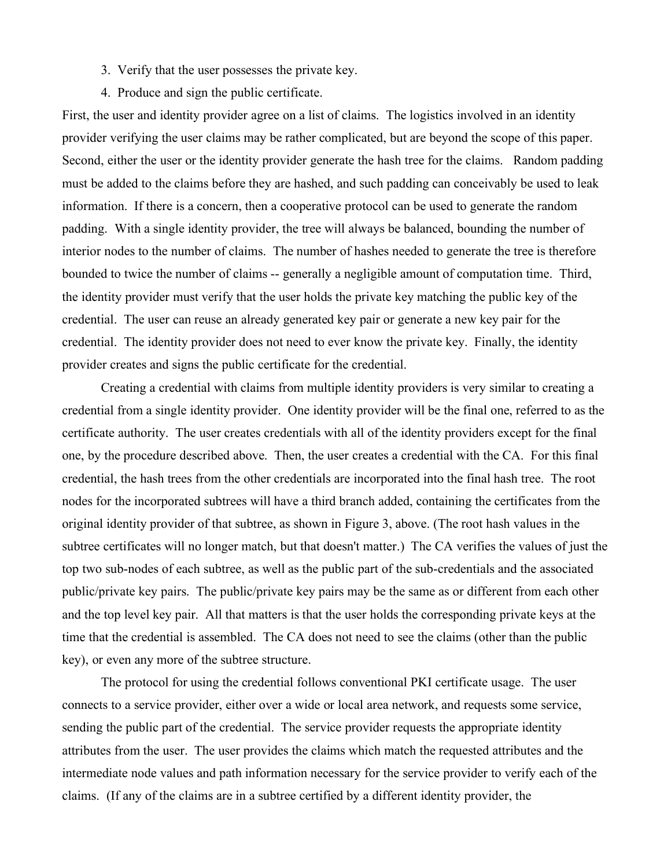- 3. Verify that the user possesses the private key.
- 4. Produce and sign the public certificate.

First, the user and identity provider agree on a list of claims. The logistics involved in an identity provider verifying the user claims may be rather complicated, but are beyond the scope of this paper. Second, either the user or the identity provider generate the hash tree for the claims. Random padding must be added to the claims before they are hashed, and such padding can conceivably be used to leak information. If there is a concern, then a cooperative protocol can be used to generate the random padding. With a single identity provider, the tree will always be balanced, bounding the number of interior nodes to the number of claims. The number of hashes needed to generate the tree is therefore bounded to twice the number of claims -- generally a negligible amount of computation time. Third, the identity provider must verify that the user holds the private key matching the public key of the credential. The user can reuse an already generated key pair or generate a new key pair for the credential. The identity provider does not need to ever know the private key. Finally, the identity provider creates and signs the public certificate for the credential.

Creating a credential with claims from multiple identity providers is very similar to creating a credential from a single identity provider. One identity provider will be the final one, referred to as the certificate authority. The user creates credentials with all of the identity providers except for the final one, by the procedure described above. Then, the user creates a credential with the CA. For this final credential, the hash trees from the other credentials are incorporated into the final hash tree. The root nodes for the incorporated subtrees will have a third branch added, containing the certificates from the original identity provider of that subtree, as shown in Figure 3, above. (The root hash values in the subtree certificates will no longer match, but that doesn't matter.) The CA verifies the values of just the top two sub-nodes of each subtree, as well as the public part of the sub-credentials and the associated public/private key pairs. The public/private key pairs may be the same as or different from each other and the top level key pair. All that matters is that the user holds the corresponding private keys at the time that the credential is assembled. The CA does not need to see the claims (other than the public key), or even any more of the subtree structure.

The protocol for using the credential follows conventional PKI certificate usage. The user connects to a service provider, either over a wide or local area network, and requests some service, sending the public part of the credential. The service provider requests the appropriate identity attributes from the user. The user provides the claims which match the requested attributes and the intermediate node values and path information necessary for the service provider to verify each of the claims. (If any of the claims are in a subtree certified by a different identity provider, the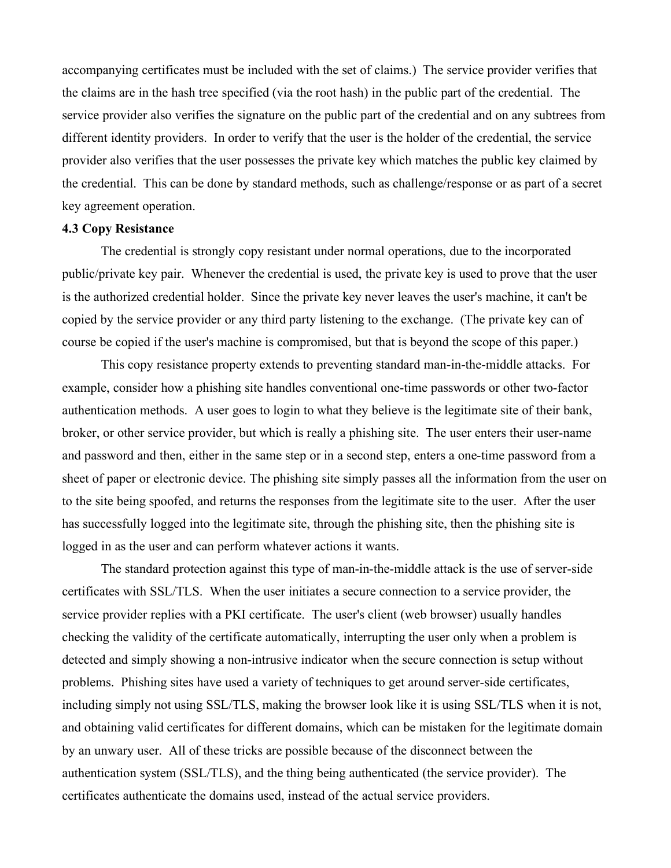accompanying certificates must be included with the set of claims.) The service provider verifies that the claims are in the hash tree specified (via the root hash) in the public part of the credential. The service provider also verifies the signature on the public part of the credential and on any subtrees from different identity providers. In order to verify that the user is the holder of the credential, the service provider also verifies that the user possesses the private key which matches the public key claimed by the credential. This can be done by standard methods, such as challenge/response or as part of a secret key agreement operation.

### **4.3 Copy Resistance**

The credential is strongly copy resistant under normal operations, due to the incorporated public/private key pair. Whenever the credential is used, the private key is used to prove that the user is the authorized credential holder. Since the private key never leaves the user's machine, it can't be copied by the service provider or any third party listening to the exchange. (The private key can of course be copied if the user's machine is compromised, but that is beyond the scope of this paper.)

This copy resistance property extends to preventing standard man-in-the-middle attacks. For example, consider how a phishing site handles conventional one-time passwords or other two-factor authentication methods. A user goes to login to what they believe is the legitimate site of their bank, broker, or other service provider, but which is really a phishing site. The user enters their user-name and password and then, either in the same step or in a second step, enters a one-time password from a sheet of paper or electronic device. The phishing site simply passes all the information from the user on to the site being spoofed, and returns the responses from the legitimate site to the user. After the user has successfully logged into the legitimate site, through the phishing site, then the phishing site is logged in as the user and can perform whatever actions it wants.

The standard protection against this type of man-in-the-middle attack is the use of server-side certificates with SSL/TLS. When the user initiates a secure connection to a service provider, the service provider replies with a PKI certificate. The user's client (web browser) usually handles checking the validity of the certificate automatically, interrupting the user only when a problem is detected and simply showing a non-intrusive indicator when the secure connection is setup without problems. Phishing sites have used a variety of techniques to get around server-side certificates, including simply not using SSL/TLS, making the browser look like it is using SSL/TLS when it is not, and obtaining valid certificates for different domains, which can be mistaken for the legitimate domain by an unwary user. All of these tricks are possible because of the disconnect between the authentication system (SSL/TLS), and the thing being authenticated (the service provider). The certificates authenticate the domains used, instead of the actual service providers.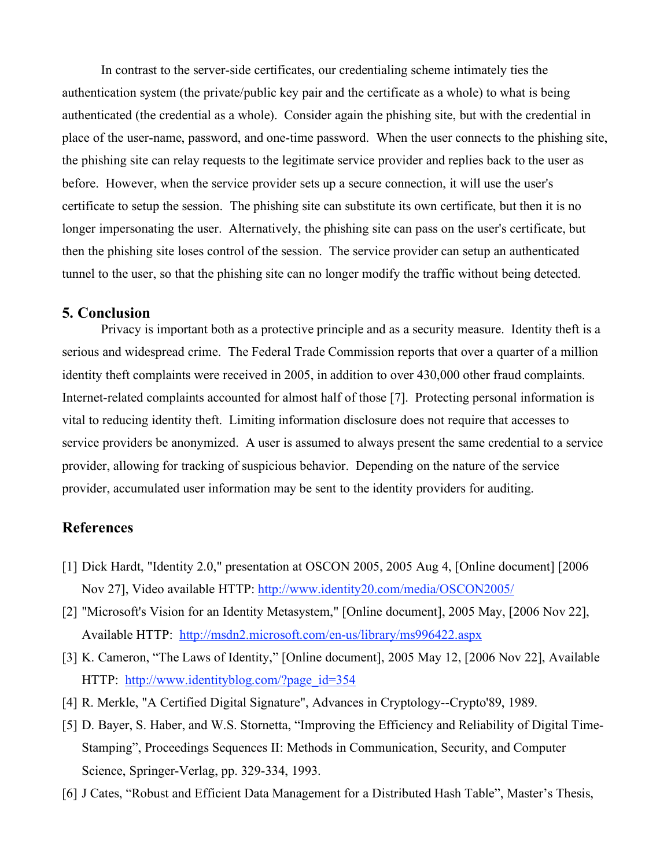In contrast to the server-side certificates, our credentialing scheme intimately ties the authentication system (the private/public key pair and the certificate as a whole) to what is being authenticated (the credential as a whole). Consider again the phishing site, but with the credential in place of the user-name, password, and one-time password. When the user connects to the phishing site, the phishing site can relay requests to the legitimate service provider and replies back to the user as before. However, when the service provider sets up a secure connection, it will use the user's certificate to setup the session. The phishing site can substitute its own certificate, but then it is no longer impersonating the user. Alternatively, the phishing site can pass on the user's certificate, but then the phishing site loses control of the session. The service provider can setup an authenticated tunnel to the user, so that the phishing site can no longer modify the traffic without being detected.

#### **5. Conclusion**

Privacy is important both as a protective principle and as a security measure. Identity theft is a serious and widespread crime. The Federal Trade Commission reports that over a quarter of a million identity theft complaints were received in 2005, in addition to over 430,000 other fraud complaints. Internet-related complaints accounted for almost half of those [7]. Protecting personal information is vital to reducing identity theft. Limiting information disclosure does not require that accesses to service providers be anonymized. A user is assumed to always present the same credential to a service provider, allowing for tracking of suspicious behavior. Depending on the nature of the service provider, accumulated user information may be sent to the identity providers for auditing.

### **References**

- [1] Dick Hardt, "Identity 2.0," presentation at OSCON 2005, 2005 Aug 4, [Online document] [2006 Nov 27], Video available HTTP: http://www.identity20.com/media/OSCON2005/
- [2] "Microsoft's Vision for an Identity Metasystem," [Online document], 2005 May, [2006 Nov 22], Available HTTP: http://msdn2.microsoft.com/en-us/library/ms996422.aspx
- [3] K. Cameron, "The Laws of Identity," [Online document], 2005 May 12, [2006 Nov 22], Available HTTP: http://www.identityblog.com/?page\_id=354
- [4] R. Merkle, "A Certified Digital Signature", Advances in Cryptology--Crypto'89, 1989.
- [5] D. Bayer, S. Haber, and W.S. Stornetta, "Improving the Efficiency and Reliability of Digital Time-Stamping", Proceedings Sequences II: Methods in Communication, Security, and Computer Science, Springer-Verlag, pp. 329-334, 1993.
- [6] J Cates, "Robust and Efficient Data Management for a Distributed Hash Table", Master's Thesis,